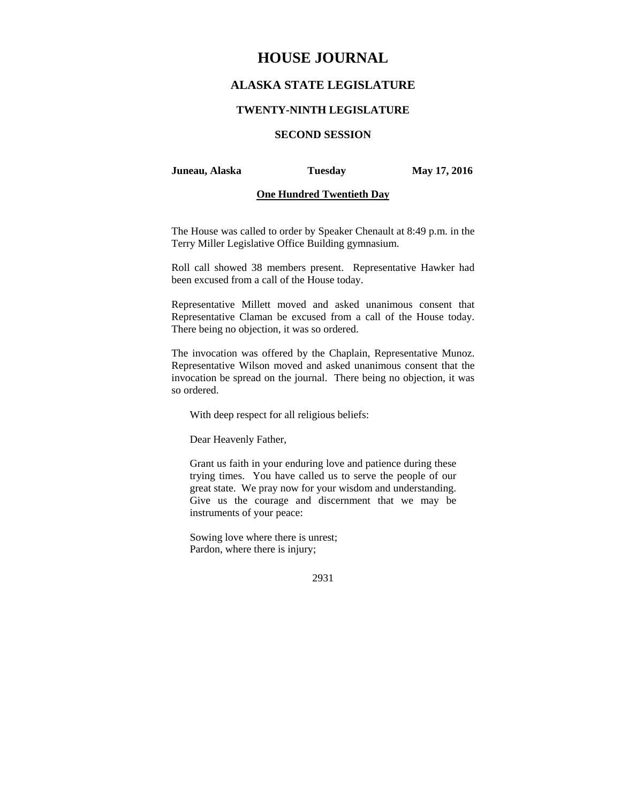# **HOUSE JOURNAL**

# **ALASKA STATE LEGISLATURE**

### **TWENTY-NINTH LEGISLATURE**

# **SECOND SESSION**

#### **Juneau, Alaska Tuesday May 17, 2016**

### **One Hundred Twentieth Day**

The House was called to order by Speaker Chenault at 8:49 p.m. in the Terry Miller Legislative Office Building gymnasium.

Roll call showed 38 members present. Representative Hawker had been excused from a call of the House today.

Representative Millett moved and asked unanimous consent that Representative Claman be excused from a call of the House today. There being no objection, it was so ordered.

The invocation was offered by the Chaplain, Representative Munoz. Representative Wilson moved and asked unanimous consent that the invocation be spread on the journal. There being no objection, it was so ordered.

With deep respect for all religious beliefs:

Dear Heavenly Father,

Grant us faith in your enduring love and patience during these trying times. You have called us to serve the people of our great state. We pray now for your wisdom and understanding. Give us the courage and discernment that we may be instruments of your peace:

Sowing love where there is unrest; Pardon, where there is injury;

2931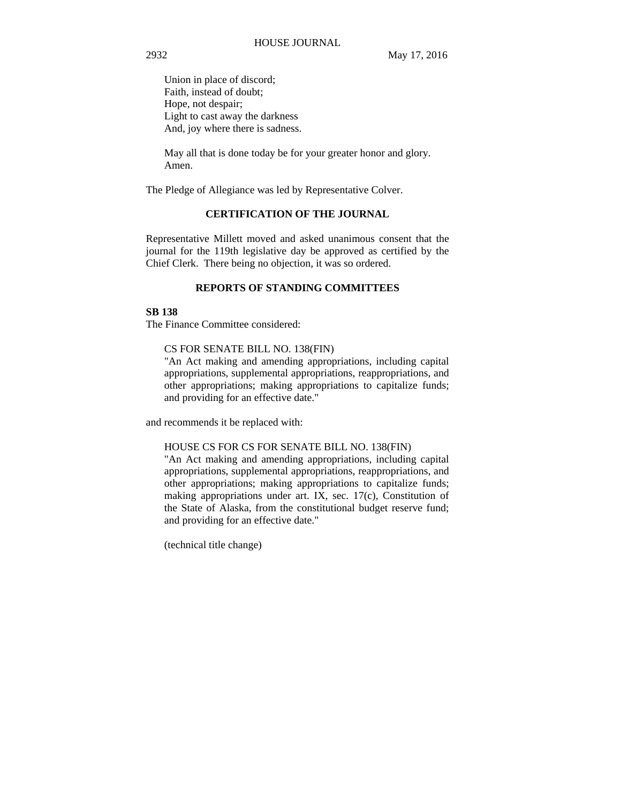Union in place of discord; Faith, instead of doubt; Hope, not despair; Light to cast away the darkness And, joy where there is sadness.

May all that is done today be for your greater honor and glory. Amen.

The Pledge of Allegiance was led by Representative Colver.

### **CERTIFICATION OF THE JOURNAL**

Representative Millett moved and asked unanimous consent that the journal for the 119th legislative day be approved as certified by the Chief Clerk. There being no objection, it was so ordered.

### **REPORTS OF STANDING COMMITTEES**

### **SB 138**

The Finance Committee considered:

CS FOR SENATE BILL NO. 138(FIN)

"An Act making and amending appropriations, including capital appropriations, supplemental appropriations, reappropriations, and other appropriations; making appropriations to capitalize funds; and providing for an effective date."

and recommends it be replaced with:

### HOUSE CS FOR CS FOR SENATE BILL NO. 138(FIN)

"An Act making and amending appropriations, including capital appropriations, supplemental appropriations, reappropriations, and other appropriations; making appropriations to capitalize funds; making appropriations under art. IX, sec. 17(c), Constitution of the State of Alaska, from the constitutional budget reserve fund; and providing for an effective date."

(technical title change)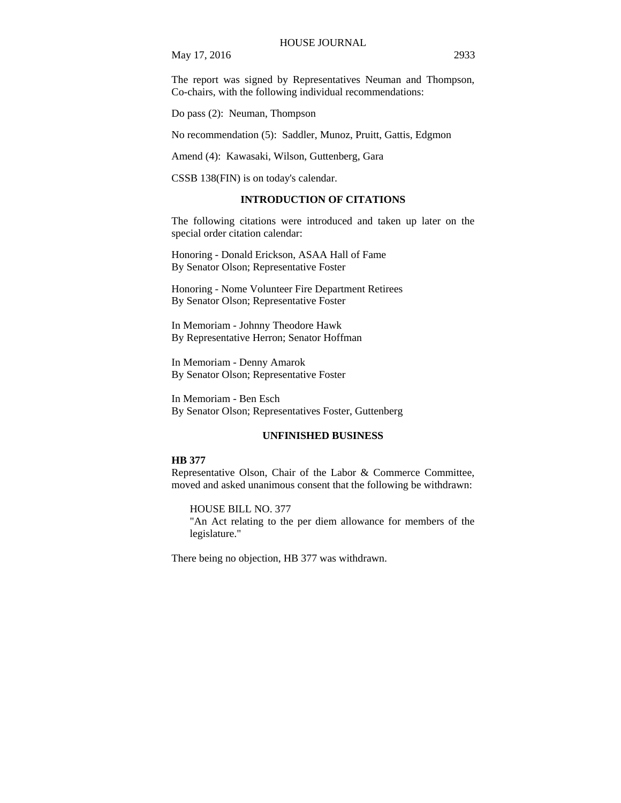May 17, 2016 2933

The report was signed by Representatives Neuman and Thompson, Co-chairs, with the following individual recommendations:

Do pass (2): Neuman, Thompson

No recommendation (5): Saddler, Munoz, Pruitt, Gattis, Edgmon

Amend (4): Kawasaki, Wilson, Guttenberg, Gara

CSSB 138(FIN) is on today's calendar.

#### **INTRODUCTION OF CITATIONS**

The following citations were introduced and taken up later on the special order citation calendar:

Honoring - Donald Erickson, ASAA Hall of Fame By Senator Olson; Representative Foster

Honoring - Nome Volunteer Fire Department Retirees By Senator Olson; Representative Foster

In Memoriam - Johnny Theodore Hawk By Representative Herron; Senator Hoffman

In Memoriam - Denny Amarok By Senator Olson; Representative Foster

In Memoriam - Ben Esch By Senator Olson; Representatives Foster, Guttenberg

#### **UNFINISHED BUSINESS**

#### **HB 377**

Representative Olson, Chair of the Labor & Commerce Committee, moved and asked unanimous consent that the following be withdrawn:

HOUSE BILL NO. 377

"An Act relating to the per diem allowance for members of the legislature."

There being no objection, HB 377 was withdrawn.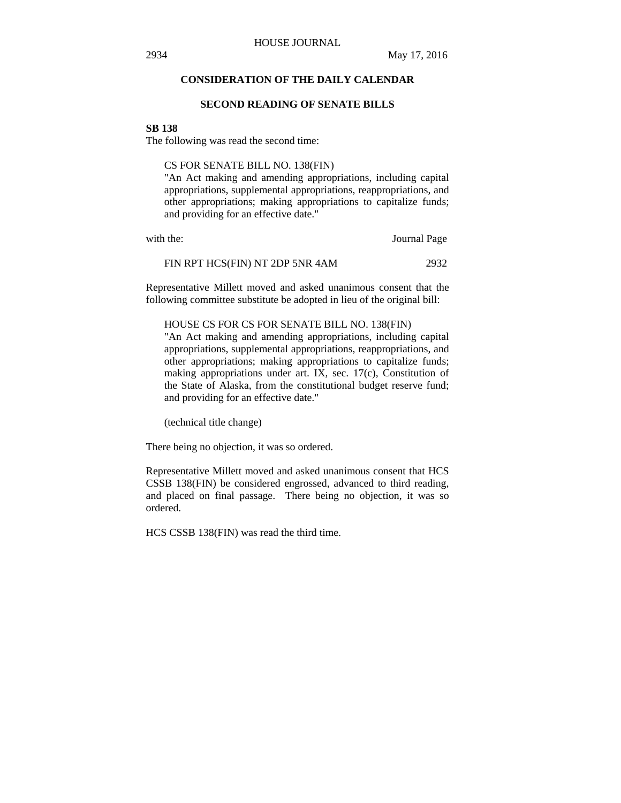### **CONSIDERATION OF THE DAILY CALENDAR**

#### **SECOND READING OF SENATE BILLS**

#### **SB 138**

The following was read the second time:

CS FOR SENATE BILL NO. 138(FIN)

"An Act making and amending appropriations, including capital appropriations, supplemental appropriations, reappropriations, and other appropriations; making appropriations to capitalize funds; and providing for an effective date."

with the: **Journal Page** 

| FIN RPT HCS(FIN) NT 2DP 5NR 4AM | 2932 |
|---------------------------------|------|
|---------------------------------|------|

Representative Millett moved and asked unanimous consent that the following committee substitute be adopted in lieu of the original bill:

#### HOUSE CS FOR CS FOR SENATE BILL NO. 138(FIN)

"An Act making and amending appropriations, including capital appropriations, supplemental appropriations, reappropriations, and other appropriations; making appropriations to capitalize funds; making appropriations under art. IX, sec. 17(c), Constitution of the State of Alaska, from the constitutional budget reserve fund; and providing for an effective date."

(technical title change)

There being no objection, it was so ordered.

Representative Millett moved and asked unanimous consent that HCS CSSB 138(FIN) be considered engrossed, advanced to third reading, and placed on final passage. There being no objection, it was so ordered.

HCS CSSB 138(FIN) was read the third time.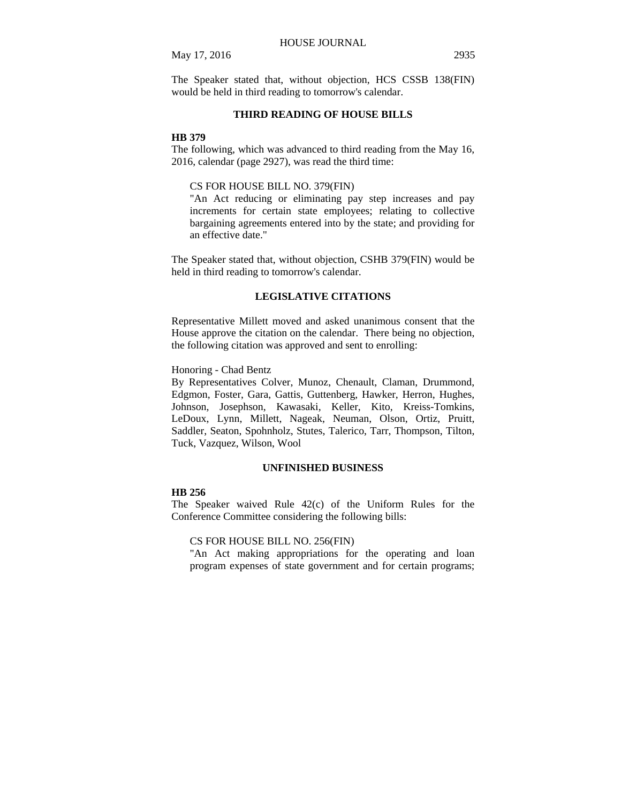### May 17, 2016 2935

The Speaker stated that, without objection, HCS CSSB 138(FIN) would be held in third reading to tomorrow's calendar.

### **THIRD READING OF HOUSE BILLS**

#### **HB 379**

The following, which was advanced to third reading from the May 16, 2016, calendar (page 2927), was read the third time:

### CS FOR HOUSE BILL NO. 379(FIN)

"An Act reducing or eliminating pay step increases and pay increments for certain state employees; relating to collective bargaining agreements entered into by the state; and providing for an effective date."

The Speaker stated that, without objection, CSHB 379(FIN) would be held in third reading to tomorrow's calendar.

### **LEGISLATIVE CITATIONS**

Representative Millett moved and asked unanimous consent that the House approve the citation on the calendar. There being no objection, the following citation was approved and sent to enrolling:

### Honoring - Chad Bentz

By Representatives Colver, Munoz, Chenault, Claman, Drummond, Edgmon, Foster, Gara, Gattis, Guttenberg, Hawker, Herron, Hughes, Johnson, Josephson, Kawasaki, Keller, Kito, Kreiss-Tomkins, LeDoux, Lynn, Millett, Nageak, Neuman, Olson, Ortiz, Pruitt, Saddler, Seaton, Spohnholz, Stutes, Talerico, Tarr, Thompson, Tilton, Tuck, Vazquez, Wilson, Wool

### **UNFINISHED BUSINESS**

#### **HB 256**

The Speaker waived Rule 42(c) of the Uniform Rules for the Conference Committee considering the following bills:

#### CS FOR HOUSE BILL NO. 256(FIN)

"An Act making appropriations for the operating and loan program expenses of state government and for certain programs;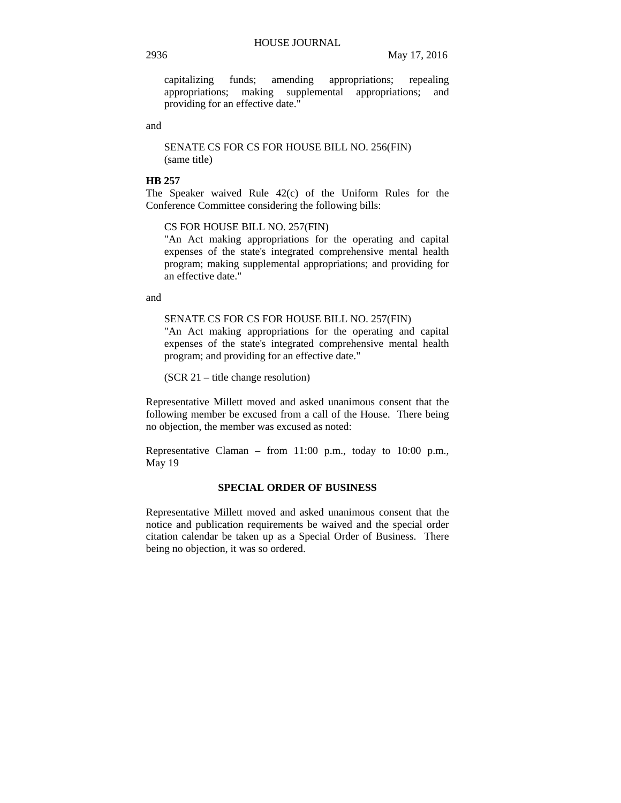capitalizing funds; amending appropriations; repealing appropriations; making supplemental appropriations; and providing for an effective date."

and

SENATE CS FOR CS FOR HOUSE BILL NO. 256(FIN) (same title)

### **HB 257**

The Speaker waived Rule 42(c) of the Uniform Rules for the Conference Committee considering the following bills:

CS FOR HOUSE BILL NO. 257(FIN)

"An Act making appropriations for the operating and capital expenses of the state's integrated comprehensive mental health program; making supplemental appropriations; and providing for an effective date."

and

SENATE CS FOR CS FOR HOUSE BILL NO. 257(FIN)

"An Act making appropriations for the operating and capital expenses of the state's integrated comprehensive mental health program; and providing for an effective date."

(SCR 21 – title change resolution)

Representative Millett moved and asked unanimous consent that the following member be excused from a call of the House. There being no objection, the member was excused as noted:

Representative Claman – from 11:00 p.m., today to 10:00 p.m., May 19

#### **SPECIAL ORDER OF BUSINESS**

Representative Millett moved and asked unanimous consent that the notice and publication requirements be waived and the special order citation calendar be taken up as a Special Order of Business. There being no objection, it was so ordered.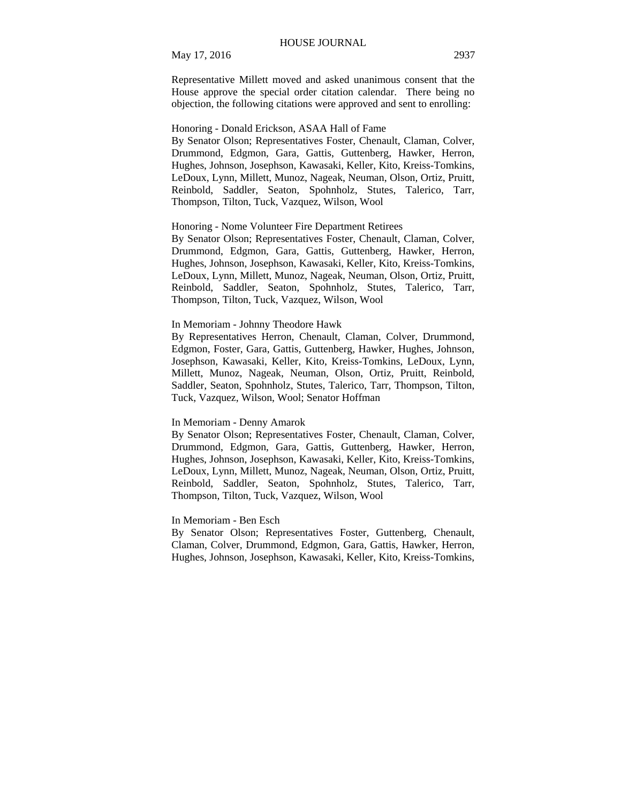Representative Millett moved and asked unanimous consent that the House approve the special order citation calendar. There being no objection, the following citations were approved and sent to enrolling:

#### Honoring - Donald Erickson, ASAA Hall of Fame

By Senator Olson; Representatives Foster, Chenault, Claman, Colver, Drummond, Edgmon, Gara, Gattis, Guttenberg, Hawker, Herron, Hughes, Johnson, Josephson, Kawasaki, Keller, Kito, Kreiss-Tomkins, LeDoux, Lynn, Millett, Munoz, Nageak, Neuman, Olson, Ortiz, Pruitt, Reinbold, Saddler, Seaton, Spohnholz, Stutes, Talerico, Tarr, Thompson, Tilton, Tuck, Vazquez, Wilson, Wool

#### Honoring - Nome Volunteer Fire Department Retirees

By Senator Olson; Representatives Foster, Chenault, Claman, Colver, Drummond, Edgmon, Gara, Gattis, Guttenberg, Hawker, Herron, Hughes, Johnson, Josephson, Kawasaki, Keller, Kito, Kreiss-Tomkins, LeDoux, Lynn, Millett, Munoz, Nageak, Neuman, Olson, Ortiz, Pruitt, Reinbold, Saddler, Seaton, Spohnholz, Stutes, Talerico, Tarr, Thompson, Tilton, Tuck, Vazquez, Wilson, Wool

### In Memoriam - Johnny Theodore Hawk

By Representatives Herron, Chenault, Claman, Colver, Drummond, Edgmon, Foster, Gara, Gattis, Guttenberg, Hawker, Hughes, Johnson, Josephson, Kawasaki, Keller, Kito, Kreiss-Tomkins, LeDoux, Lynn, Millett, Munoz, Nageak, Neuman, Olson, Ortiz, Pruitt, Reinbold, Saddler, Seaton, Spohnholz, Stutes, Talerico, Tarr, Thompson, Tilton, Tuck, Vazquez, Wilson, Wool; Senator Hoffman

#### In Memoriam - Denny Amarok

By Senator Olson; Representatives Foster, Chenault, Claman, Colver, Drummond, Edgmon, Gara, Gattis, Guttenberg, Hawker, Herron, Hughes, Johnson, Josephson, Kawasaki, Keller, Kito, Kreiss-Tomkins, LeDoux, Lynn, Millett, Munoz, Nageak, Neuman, Olson, Ortiz, Pruitt, Reinbold, Saddler, Seaton, Spohnholz, Stutes, Talerico, Tarr, Thompson, Tilton, Tuck, Vazquez, Wilson, Wool

### In Memoriam - Ben Esch

By Senator Olson; Representatives Foster, Guttenberg, Chenault, Claman, Colver, Drummond, Edgmon, Gara, Gattis, Hawker, Herron, Hughes, Johnson, Josephson, Kawasaki, Keller, Kito, Kreiss-Tomkins,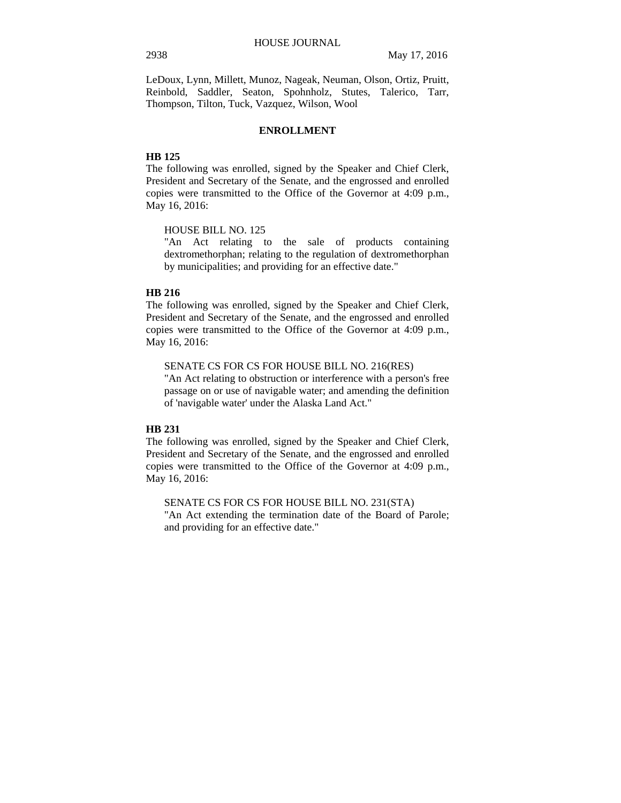LeDoux, Lynn, Millett, Munoz, Nageak, Neuman, Olson, Ortiz, Pruitt, Reinbold, Saddler, Seaton, Spohnholz, Stutes, Talerico, Tarr, Thompson, Tilton, Tuck, Vazquez, Wilson, Wool

### **ENROLLMENT**

### **HB 125**

The following was enrolled, signed by the Speaker and Chief Clerk, President and Secretary of the Senate, and the engrossed and enrolled copies were transmitted to the Office of the Governor at 4:09 p.m., May 16, 2016:

HOUSE BILL NO. 125

"An Act relating to the sale of products containing dextromethorphan; relating to the regulation of dextromethorphan by municipalities; and providing for an effective date."

#### **HB 216**

The following was enrolled, signed by the Speaker and Chief Clerk, President and Secretary of the Senate, and the engrossed and enrolled copies were transmitted to the Office of the Governor at 4:09 p.m., May 16, 2016:

SENATE CS FOR CS FOR HOUSE BILL NO. 216(RES)

"An Act relating to obstruction or interference with a person's free passage on or use of navigable water; and amending the definition of 'navigable water' under the Alaska Land Act."

### **HB 231**

The following was enrolled, signed by the Speaker and Chief Clerk, President and Secretary of the Senate, and the engrossed and enrolled copies were transmitted to the Office of the Governor at 4:09 p.m., May 16, 2016:

SENATE CS FOR CS FOR HOUSE BILL NO. 231(STA) "An Act extending the termination date of the Board of Parole; and providing for an effective date."